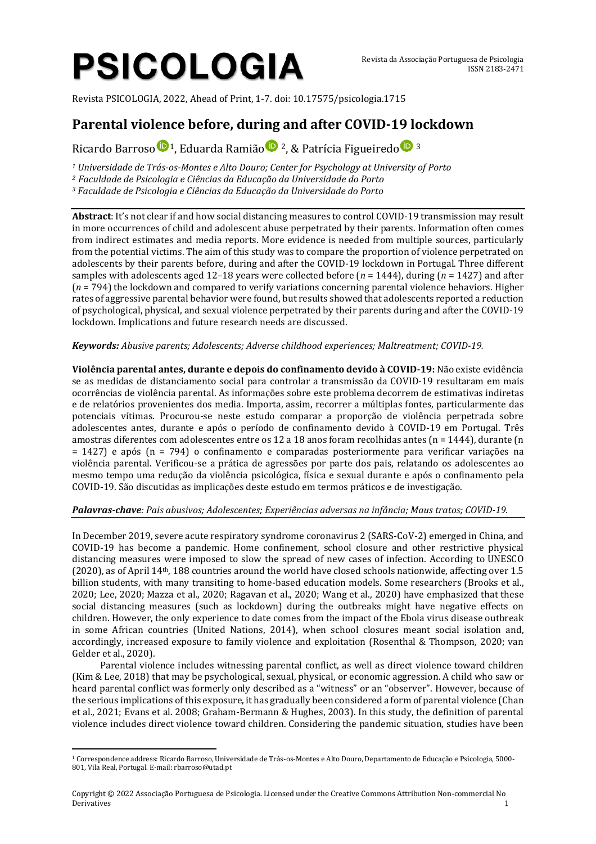# **PSICOLOGIA**

Revista PSICOLOGIA, 2022, Ahead of Print, 1-7. doi: 10.17575/psicologia.1715

# **Parental violence before, during and after COVID-19 lockdown**

Ricard[o](http://orcid.org/0000-0002-7827-9350) Barroso  $\mathbf{D}$ <sup>[1](http://orcid.org/0000-0003-0961-7819)</sup>, Eduarda Ramião  $\mathbf{D}$ <sup>2</sup>, & Patrícia Figueiredo  $\mathbf{D}$ <sup>3</sup>

*<sup>1</sup> Universidade de Trás-os-Montes e Alto Douro; Center for Psychology at University of Porto*

*<sup>2</sup> Faculdade de Psicologia e Ciências da Educação da Universidade do Porto*

*<sup>3</sup> Faculdade de Psicologia e Ciências da Educação da Universidade do Porto* 

**Abstract**: It's not clear if and how social distancing measures to control COVID-19 transmission may result in more occurrences of child and adolescent abuse perpetrated by their parents. Information often comes from indirect estimates and media reports. More evidence is needed from multiple sources, particularly from the potential victims. The aim of this study was to compare the proportion of violence perpetrated on adolescents by their parents before, during and after the COVID-19 lockdown in Portugal. Three different samples with adolescents aged 12–18 years were collected before (*n* = 1444), during (*n* = 1427) and after (*n* = 794) the lockdown and compared to verify variations concerning parental violence behaviors. Higher rates of aggressive parental behavior were found, but results showed that adolescents reported a reduction of psychological, physical, and sexual violence perpetrated by their parents during and after the COVID-19 lockdown. Implications and future research needs are discussed.

# *Keywords: Abusive parents; Adolescents; Adverse childhood experiences; Maltreatment; COVID-19.*

**Violência parental antes, durante e depois do confinamento devido à COVID-19:** Não existe evidência se as medidas de distanciamento social para controlar a transmissão da COVID-19 resultaram em mais ocorrências de violência parental. As informações sobre este problema decorrem de estimativas indiretas e de relatórios provenientes dos media. Importa, assim, recorrer a múltiplas fontes, particularmente das potenciais vítimas. Procurou-se neste estudo comparar a proporção de violência perpetrada sobre adolescentes antes, durante e após o período de confinamento devido à COVID-19 em Portugal. Três amostras diferentes com adolescentes entre os 12 a 18 anos foram recolhidas antes (n = 1444), durante (n = 1427) e após (n = 794) o confinamento e comparadas posteriormente para verificar variações na violência parental. Verificou-se a prática de agressões por parte dos pais, relatando os adolescentes ao mesmo tempo uma redução da violência psicológica, física e sexual durante e após o confinamento pela COVID-19. São discutidas as implicações deste estudo em termos práticos e de investigação.

# *Palavras-chave: Pais abusivos; Adolescentes; Experiências adversas na infância; Maus tratos; COVID-19.*

In December 2019, severe acute respiratory syndrome coronavirus 2 (SARS-CoV-2) emerged in China, and COVID-19 has become a pandemic. Home confinement, school closure and other restrictive physical distancing measures were imposed to slow the spread of new cases of infection. According to UNESCO (2020), as of April 14th, 188 countries around the world have closed schools nationwide, affecting over 1.5 billion students, with many transiting to home-based education models. Some researchers (Brooks et al., 2020; Lee, 2020; Mazza et al., 2020; Ragavan et al., 2020; Wang et al., 2020) have emphasized that these social distancing measures (such as lockdown) during the outbreaks might have negative effects on children. However, the only experience to date comes from the impact of the Ebola virus disease outbreak in some African countries (United Nations, 2014), when school closures meant social isolation and, accordingly, increased exposure to family violence and exploitation (Rosenthal & Thompson, 2020; van Gelder et al., 2020).

Parental violence includes witnessing parental conflict, as well as direct violence toward children (Kim & Lee, 2018) that may be psychological, sexual, physical, or economic aggression. A child who saw or heard parental conflict was formerly only described as a "witness" or an "observer". However, because of the serious implications of this exposure, it has gradually been considered a form of parental violence (Chan et al., 2021; Evans et al. 2008; Graham-Bermann & Hughes, 2003). In this study, the definition of parental violence includes direct violence toward children. Considering the pandemic situation, studies have been

<sup>1</sup> Correspondence address: Ricardo Barroso, Universidade de Trás-os-Montes e Alto Douro, Departamento de Educação e Psicologia, 5000- 801, Vila Real, Portugal. E-mail: rbarroso@utad.pt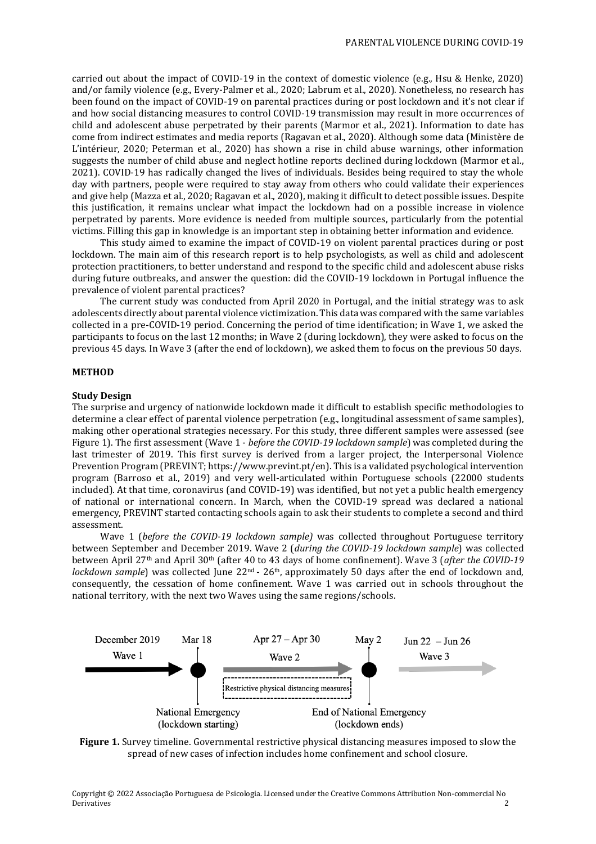carried out about the impact of COVID-19 in the context of domestic violence (e.g., Hsu & Henke, 2020) and/or family violence (e.g., Every-Palmer et al., 2020; Labrum et al., 2020). Nonetheless, no research has been found on the impact of COVID-19 on parental practices during or post lockdown and it's not clear if and how social distancing measures to control COVID-19 transmission may result in more occurrences of child and adolescent abuse perpetrated by their parents (Marmor et al., 2021). Information to date has come from indirect estimates and media reports (Ragavan et al., 2020). Although some data (Ministère de L'intérieur, 2020; Peterman et al., 2020) has shown a rise in child abuse warnings, other information suggests the number of child abuse and neglect hotline reports declined during lockdown (Marmor et al., 2021). COVID-19 has radically changed the lives of individuals. Besides being required to stay the whole day with partners, people were required to stay away from others who could validate their experiences and give help (Mazza et al., 2020; Ragavan et al., 2020), making it difficult to detect possible issues. Despite this justification, it remains unclear what impact the lockdown had on a possible increase in violence perpetrated by parents. More evidence is needed from multiple sources, particularly from the potential victims. Filling this gap in knowledge is an important step in obtaining better information and evidence.

This study aimed to examine the impact of COVID-19 on violent parental practices during or post lockdown. The main aim of this research report is to help psychologists, as well as child and adolescent protection practitioners, to better understand and respond to the specific child and adolescent abuse risks during future outbreaks, and answer the question: did the COVID-19 lockdown in Portugal influence the prevalence of violent parental practices?

The current study was conducted from April 2020 in Portugal, and the initial strategy was to ask adolescents directly about parental violence victimization. This data was compared with the same variables collected in a pre-COVID-19 period. Concerning the period of time identification; in Wave 1, we asked the participants to focus on the last 12 months; in Wave 2 (during lockdown), they were asked to focus on the previous 45 days. In Wave 3 (after the end of lockdown), we asked them to focus on the previous 50 days.

#### **METHOD**

#### **Study Design**

The surprise and urgency of nationwide lockdown made it difficult to establish specific methodologies to determine a clear effect of parental violence perpetration (e.g., longitudinal assessment of same samples), making other operational strategies necessary. For this study, three different samples were assessed (see Figure 1). The first assessment (Wave 1 - *before the COVID-19 lockdown sample*) was completed during the last trimester of 2019. This first survey is derived from a larger project, the Interpersonal Violence Prevention Program (PREVINT; [https://www.prevint.pt/en\)](https://www.prevint.pt/en). This is a validated psychological intervention program (Barroso et al., 2019) and very well-articulated within Portuguese schools (22000 students included). At that time, coronavirus (and COVID-19) was identified, but not yet a public health emergency of national or international concern. In March, when the COVID-19 spread was declared a national emergency, PREVINT started contacting schools again to ask their students to complete a second and third assessment.

Wave 1 (*before the COVID-19 lockdown sample)* was collected throughout Portuguese territory between September and December 2019. Wave 2 (*during the COVID-19 lockdown sample*) was collected between April 27th and April 30th (after 40 to 43 days of home confinement). Wave 3 (*after the COVID-19 lockdown sample*) was collected June 22<sup>nd</sup> - 26<sup>th</sup>, approximately 50 days after the end of lockdown and, consequently, the cessation of home confinement. Wave 1 was carried out in schools throughout the national territory, with the next two Waves using the same regions/schools.



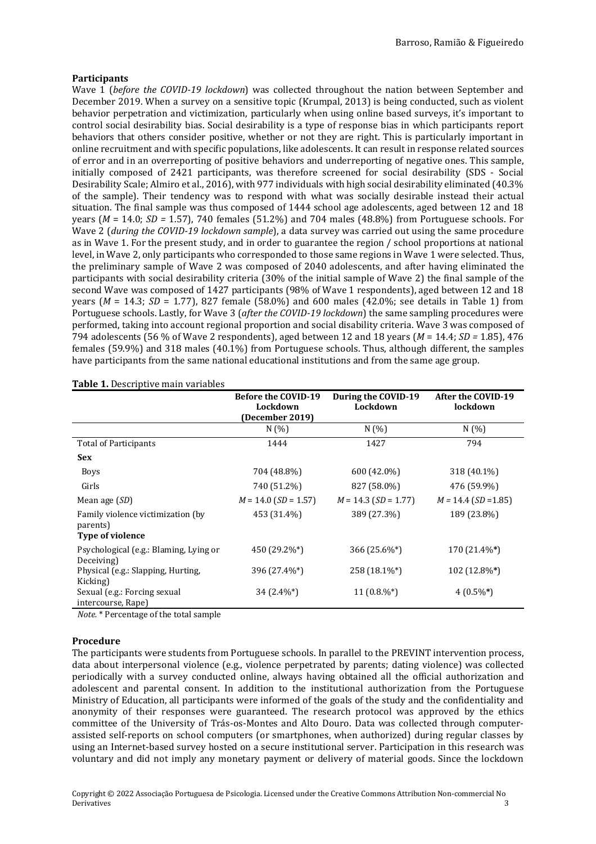# **Participants**

Wave 1 (*before the COVID-19 lockdown*) was collected throughout the nation between September and December 2019. When a survey on a sensitive topic (Krumpal, 2013) is being conducted, such as violent behavior perpetration and victimization, particularly when using online based surveys, it's important to control social desirability bias. Social desirability is a type of response bias in which participants report behaviors that others consider positive, whether or not they are right. This is particularly important in online recruitment and with specific populations, like adolescents. It can result in response related sources of error and in an overreporting of positive behaviors and underreporting of negative ones. This sample, initially composed of 2421 participants, was therefore screened for social desirability (SDS - Social Desirability Scale; Almiro et al., 2016), with 977 individuals with high social desirability eliminated (40.3% of the sample). Their tendency was to respond with what was socially desirable instead their actual situation. The final sample was thus composed of 1444 school age adolescents, aged between 12 and 18 years ( $M = 14.0$ ;  $SD = 1.57$ ), 740 females (51.2%) and 704 males (48.8%) from Portuguese schools. For Wave 2 (*during the COVID-19 lockdown sample*), a data survey was carried out using the same procedure as in Wave 1. For the present study, and in order to guarantee the region / school proportions at national level, in Wave 2, only participants who corresponded to those same regions in Wave 1 were selected. Thus, the preliminary sample of Wave 2 was composed of 2040 adolescents, and after having eliminated the participants with social desirability criteria (30% of the initial sample of Wave 2) the final sample of the second Wave was composed of 1427 participants (98% of Wave 1 respondents), aged between 12 and 18 years (*M* = 14.3; *SD* = 1.77), 827 female (58.0%) and 600 males (42.0%; see details in Table 1) from Portuguese schools. Lastly, for Wave 3 (*after the COVID-19 lockdown*) the same sampling procedures were performed, taking into account regional proportion and social disability criteria. Wave 3 was composed of 794 adolescents (56 % of Wave 2 respondents), aged between 12 and 18 years (*M* = 14.4; *SD =* 1.85), 476 females (59.9%) and 318 males (40.1%) from Portuguese schools. Thus, although different, the samples have participants from the same national educational institutions and from the same age group.

|                                                                          | <b>Before the COVID-19</b><br>Lockdown<br>(December 2019) | During the COVID-19<br>Lockdown | After the COVID-19<br>lockdown |
|--------------------------------------------------------------------------|-----------------------------------------------------------|---------------------------------|--------------------------------|
|                                                                          | N(%)                                                      | N(%)                            | N(%)                           |
| <b>Total of Participants</b>                                             | 1444                                                      | 1427                            | 794                            |
| <b>Sex</b>                                                               |                                                           |                                 |                                |
| <b>Boys</b>                                                              | 704 (48.8%)                                               | 600 (42.0%)                     | 318 (40.1%)                    |
| Girls                                                                    | 740 (51.2%)                                               | 827 (58.0%)                     | 476 (59.9%)                    |
| Mean age (SD)                                                            | $M = 14.0$ (SD = 1.57)                                    | $M = 14.3$ (SD = 1.77)          | $M = 14.4$ (SD = 1.85)         |
| Family violence victimization (by<br>parents)<br><b>Type of violence</b> | 453 (31.4%)                                               | 389 (27.3%)                     | 189 (23.8%)                    |
| Psychological (e.g.: Blaming, Lying or<br>Deceiving)                     | 450 (29.2%*)                                              | 366 (25.6%*)                    | 170 (21.4%*)                   |
| Physical (e.g.: Slapping, Hurting,<br>Kicking)                           | 396 (27.4%*)                                              | 258 (18.1%*)                    | 102 (12.8%*)                   |
| Sexual (e.g.: Forcing sexual<br>intercourse, Rape)                       | $34(2.4\%^*)$                                             | 11 $(0.8\%^*)$                  | $4(0.5\%*)$                    |

#### **Table 1.** Descriptive main variables

*Note.* \* Percentage of the total sample

# **Procedure**

The participants were students from Portuguese schools. In parallel to the PREVINT intervention process, data about interpersonal violence (e.g., violence perpetrated by parents; dating violence) was collected periodically with a survey conducted online, always having obtained all the official authorization and adolescent and parental consent. In addition to the institutional authorization from the Portuguese Ministry of Education, all participants were informed of the goals of the study and the confidentiality and anonymity of their responses were guaranteed. The research protocol was approved by the ethics committee of the University of Trás-os-Montes and Alto Douro. Data was collected through computerassisted self-reports on school computers (or smartphones, when authorized) during regular classes by using an Internet-based survey hosted on a secure institutional server. Participation in this research was voluntary and did not imply any monetary payment or delivery of material goods. Since the lockdown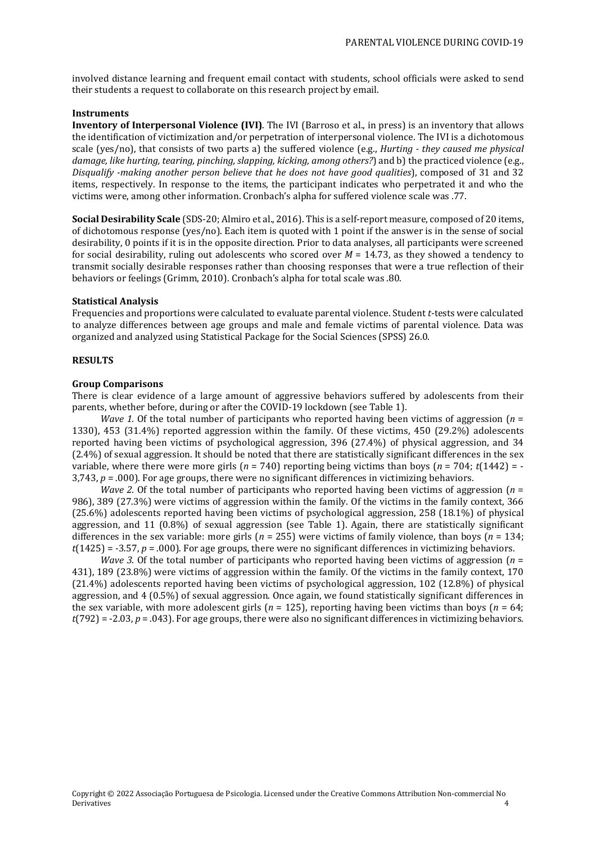involved distance learning and frequent email contact with students, school officials were asked to send their students a request to collaborate on this research project by email.

# **Instruments**

**Inventory of Interpersonal Violence (IVI)**. The IVI (Barroso et al., in press) is an inventory that allows the identification of victimization and/or perpetration of interpersonal violence. The IVI is a dichotomous scale (yes/no), that consists of two parts a) the suffered violence (e.g., *Hurting - they caused me physical damage, like hurting, tearing, pinching, slapping, kicking, among others?*) and b) the practiced violence (e.g., *Disqualify -making another person believe that he does not have good qualities*), composed of 31 and 32 items, respectively. In response to the items, the participant indicates who perpetrated it and who the victims were, among other information. Cronbach's alpha for suffered violence scale was .77.

**Social Desirability Scale** (SDS-20; Almiro et al., 2016). This is a self-report measure, composed of 20 items, of dichotomous response (yes/no). Each item is quoted with 1 point if the answer is in the sense of social desirability, 0 points if it is in the opposite direction. Prior to data analyses, all participants were screened for social desirability, ruling out adolescents who scored over *M* = 14.73, as they showed a tendency to transmit socially desirable responses rather than choosing responses that were a true reflection of their behaviors or feelings (Grimm, 2010). Cronbach's alpha for total scale was .80.

# **Statistical Analysis**

Frequencies and proportions were calculated to evaluate parental violence. Student *t*-tests were calculated to analyze differences between age groups and male and female victims of parental violence. Data was organized and analyzed using Statistical Package for the Social Sciences (SPSS) 26.0.

#### **RESULTS**

#### **Group Comparisons**

There is clear evidence of a large amount of aggressive behaviors suffered by adolescents from their parents, whether before, during or after the COVID-19 lockdown (see Table 1).

*Wave 1.* Of the total number of participants who reported having been victims of aggression (*n* = 1330), 453 (31.4%) reported aggression within the family. Of these victims, 450 (29.2%) adolescents reported having been victims of psychological aggression, 396 (27.4%) of physical aggression, and 34 (2.4%) of sexual aggression. It should be noted that there are statistically significant differences in the sex variable, where there were more girls  $(n = 740)$  reporting being victims than boys  $(n = 704; t(1442) = -1)$  $3,743$ ,  $p = .000$ ). For age groups, there were no significant differences in victimizing behaviors.

*Wave 2.* Of the total number of participants who reported having been victims of aggression (*n* = 986), 389 (27.3%) were victims of aggression within the family. Of the victims in the family context, 366 (25.6%) adolescents reported having been victims of psychological aggression, 258 (18.1%) of physical aggression, and 11 (0.8%) of sexual aggression (see Table 1). Again, there are statistically significant differences in the sex variable: more girls (*n* = 255) were victims of family violence, than boys (*n* = 134; *t*(1425) = -3.57, *p* = .000). For age groups, there were no significant differences in victimizing behaviors.

*Wave 3.* Of the total number of participants who reported having been victims of aggression (*n* = 431), 189 (23.8%) were victims of aggression within the family. Of the victims in the family context, 170 (21.4%) adolescents reported having been victims of psychological aggression, 102 (12.8%) of physical aggression, and 4 (0.5%) of sexual aggression. Once again, we found statistically significant differences in the sex variable, with more adolescent girls ( $n = 125$ ), reporting having been victims than boys ( $n = 64$ ; *t*(792) = -2.03, *p* = .043). For age groups, there were also no significant differences in victimizing behaviors.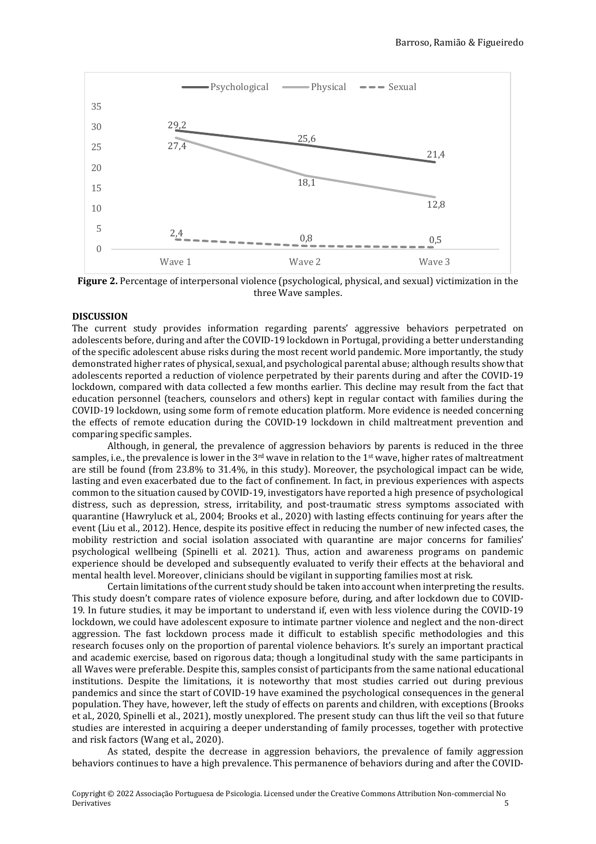

**Figure 2.** Percentage of interpersonal violence (psychological, physical, and sexual) victimization in the three Wave samples.

#### **DISCUSSION**

The current study provides information regarding parents' aggressive behaviors perpetrated on adolescents before, during and after the COVID-19 lockdown in Portugal, providing a better understanding of the specific adolescent abuse risks during the most recent world pandemic. More importantly, the study demonstrated higher rates of physical, sexual, and psychological parental abuse; although results show that adolescents reported a reduction of violence perpetrated by their parents during and after the COVID-19 lockdown, compared with data collected a few months earlier. This decline may result from the fact that education personnel (teachers, counselors and others) kept in regular contact with families during the COVID-19 lockdown, using some form of remote education platform. More evidence is needed concerning the effects of remote education during the COVID-19 lockdown in child maltreatment prevention and comparing specific samples.

Although, in general, the prevalence of aggression behaviors by parents is reduced in the three samples, i.e., the prevalence is lower in the 3<sup>rd</sup> wave in relation to the 1<sup>st</sup> wave, higher rates of maltreatment are still be found (from 23.8% to 31.4%, in this study). Moreover, the psychological impact can be wide, lasting and even exacerbated due to the fact of confinement. In fact, in previous experiences with aspects common to the situation caused by COVID-19, investigators have reported a high presence of psychological distress, such as depression, stress, irritability, and post-traumatic stress symptoms associated with quarantine (Hawryluck et al., 2004; Brooks et al., 2020) with lasting effects continuing for years after the event (Liu et al., 2012). Hence, despite its positive effect in reducing the number of new infected cases, the mobility restriction and social isolation associated with quarantine are major concerns for families' psychological wellbeing (Spinelli et al. 2021). Thus, action and awareness programs on pandemic experience should be developed and subsequently evaluated to verify their effects at the behavioral and mental health level. Moreover, clinicians should be vigilant in supporting families most at risk.

Certain limitations of the current study should be taken into account when interpreting the results. This study doesn't compare rates of violence exposure before, during, and after lockdown due to COVID-19. In future studies, it may be important to understand if, even with less violence during the COVID-19 lockdown, we could have adolescent exposure to intimate partner violence and neglect and the non-direct aggression. The fast lockdown process made it difficult to establish specific methodologies and this research focuses only on the proportion of parental violence behaviors. It's surely an important practical and academic exercise, based on rigorous data; though a longitudinal study with the same participants in all Waves were preferable. Despite this, samples consist of participants from the same national educational institutions. Despite the limitations, it is noteworthy that most studies carried out during previous pandemics and since the start of COVID-19 have examined the psychological consequences in the general population. They have, however, left the study of effects on parents and children, with exceptions (Brooks et al., 2020, Spinelli et al., 2021), mostly unexplored. The present study can thus lift the veil so that future studies are interested in acquiring a deeper understanding of family processes, together with protective and risk factors (Wang et al., 2020).

As stated, despite the decrease in aggression behaviors, the prevalence of family aggression behaviors continues to have a high prevalence. This permanence of behaviors during and after the COVID-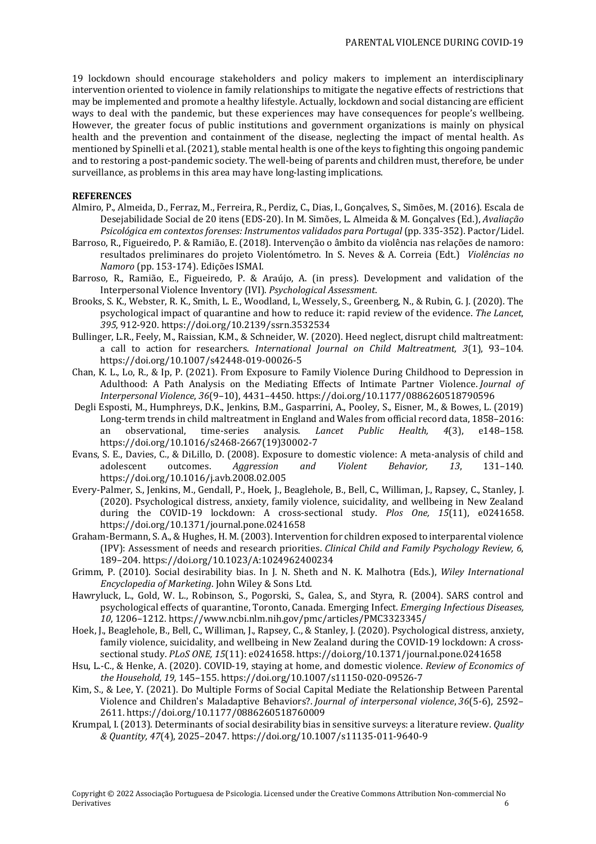19 lockdown should encourage stakeholders and policy makers to implement an interdisciplinary intervention oriented to violence in family relationships to mitigate the negative effects of restrictions that may be implemented and promote a healthy lifestyle. Actually, lockdown and social distancing are efficient ways to deal with the pandemic, but these experiences may have consequences for people's wellbeing. However, the greater focus of public institutions and government organizations is mainly on physical health and the prevention and containment of the disease, neglecting the impact of mental health. As mentioned by Spinelli et al.(2021), stable mental health is one of the keys to fighting this ongoing pandemic and to restoring a post-pandemic society. The well-being of parents and children must, therefore, be under surveillance, as problems in this area may have long-lasting implications.

### **REFERENCES**

- Almiro, P., Almeida, D., Ferraz, M., Ferreira, R., Perdiz, C., Dias, I., Gonçalves, S., Simões, M. (2016). Escala de Desejabilidade Social de 20 itens (EDS-20). In M. Simões, L. Almeida & M. Gonçalves (Ed.), *Avaliação Psicológica em contextos forenses: Instrumentos validados para Portugal* (pp. 335-352). Pactor/Lidel.
- Barroso, R., Figueiredo, P. & Ramião, E. (2018). Intervenção o âmbito da violência nas relações de namoro: resultados preliminares do projeto Violentómetro. In S. Neves & A. Correia (Edt.) *Violências no Namoro* (pp. 153-174). Edições ISMAI.
- Barroso, R., Ramião, E., Figueiredo, P. & Araújo, A. (in press). Development and validation of the Interpersonal Violence Inventory (IVI). *Psychological Assessment*.
- Brooks, S. K., Webster, R. K., Smith, L. E., Woodland, L, Wessely, S., Greenberg, N., & Rubin, G. J. (2020). The psychological impact of quarantine and how to reduce it: rapid review of the evidence. *The Lancet*, *395*, 912-920. <https://doi.org/10.2139/ssrn.3532534>
- Bullinger, L.R., Feely, M., Raissian, K.M., & Schneider, W. (2020). Heed neglect, disrupt child maltreatment: a call to action for researchers. *International Journal on Child Maltreatment, 3*(1), 93–104. <https://doi.org/10.1007/s42448-019-00026-5>
- Chan, K. L., Lo, R., & Ip, P. (2021). From Exposure to Family Violence During Childhood to Depression in Adulthood: A Path Analysis on the Mediating Effects of Intimate Partner Violence. *Journal of Interpersonal Violence*, *36*(9–10), 4431–4450. https://doi.org/10.1177/0886260518790596
- Degli Esposti, M., Humphreys, D.K., Jenkins, B.M., Gasparrini, A., Pooley, S., Eisner, M., & Bowes, L. (2019) Long-term trends in child maltreatment in England and Wales from official record data, 1858–2016: an observational, time-series analysis. *Lancet Public Health, 4*(3), e148–158. [https://doi.org/10.1016/s2468-2667\(19\)30002-7](https://doi.org/10.1016/s2468-2667(19)30002-7)
- Evans, S. E., Davies, C., & DiLillo, D. (2008). Exposure to domestic violence: A meta-analysis of child and adolescent outcomes. *Aggression and Violent Behavior, 13*, 131–140. <https://doi.org/10.1016/j.avb.2008.02.005>
- Every-Palmer, S., Jenkins, M., Gendall, P., Hoek, J., Beaglehole, B., Bell, C., Williman, J., Rapsey, C., Stanley, J. (2020). Psychological distress, anxiety, family violence, suicidality, and wellbeing in New Zealand during the COVID-19 lockdown: A cross-sectional study. *Plos One, 15*(11), e0241658. <https://doi.org/10.1371/journal.pone.0241658>
- Graham-Bermann, S. A., & Hughes,H. M.(2003). Intervention for children exposed to interparental violence (IPV): Assessment of needs and research priorities. *Clinical Child and Family Psychology Review, 6*, 189–204. <https://doi.org/10.1023/A:1024962400234>
- Grimm, P. (2010). Social desirability bias. In J. N. Sheth and N. K. Malhotra (Eds.), *Wiley International Encyclopedia of Marketing*. John Wiley & Sons Ltd.
- Hawryluck, L., Gold, W. L., Robinson, S., Pogorski, S., Galea, S., and Styra, R. (2004). SARS control and psychological effects of quarantine, Toronto, Canada. Emerging Infect. *Emerging Infectious Diseases, 10*, 1206–1212. <https://www.ncbi.nlm.nih.gov/pmc/articles/PMC3323345/>
- Hoek, J., Beaglehole, B., Bell, C., Williman, J., Rapsey, C., & Stanley, J. (2020). Psychological distress, anxiety, family violence, suicidality, and wellbeing in New Zealand during the COVID-19 lockdown: A crosssectional study. *PLoS ONE, 15*(11): e0241658. <https://doi.org/10.1371/journal.pone.0241658>
- Hsu, L.-C., & Henke, A. (2020). COVID-19, staying at home, and domestic violence*. Review of Economics of the Household, 19,* 145–155. <https://doi.org/10.1007/s11150-020-09526-7>
- Kim, S., & Lee, Y. (2021). Do Multiple Forms of Social Capital Mediate the Relationship Between Parental Violence and Children's Maladaptive Behaviors?. *Journal of interpersonal violence*, *36*(5-6), 2592– 2611. <https://doi.org/10.1177/0886260518760009>
- Krumpal, I. (2013). Determinants of social desirability bias in sensitive surveys: a literature review. *Quality & Quantity, 47*(4), 2025–2047. <https://doi.org/10.1007/s11135-011-9640-9>